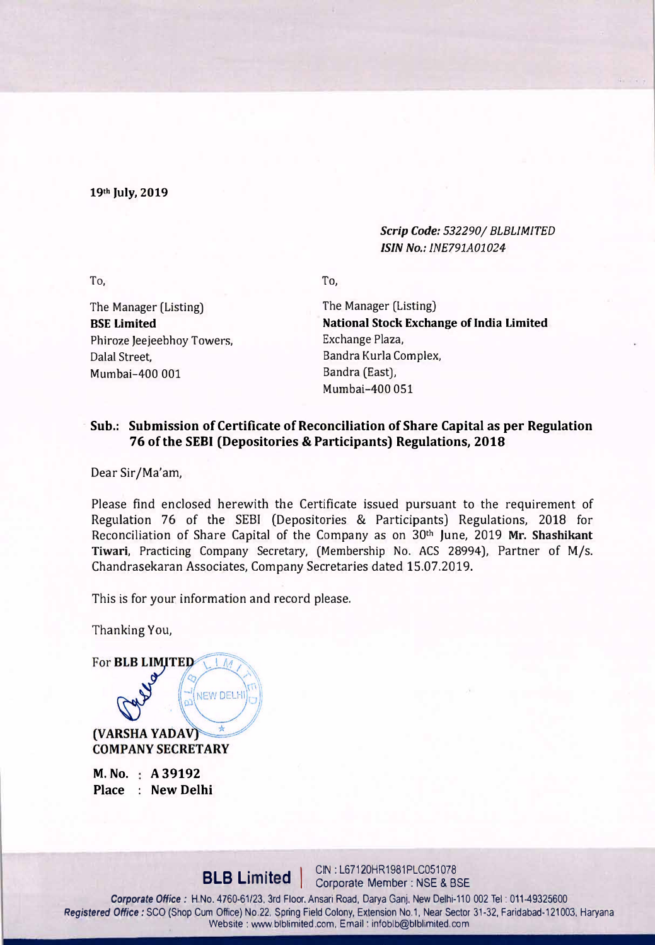19th July, 2019

### *Scrip Code: 532290/ BLBLJMITED /SIN No.: INE791A01024*

To,

The Manager (Listing) BSE Limited Phiroze Jeejeebhoy Towers, Dalal Street, Mumbai-400 001

To,

The Manager (Listing) National Stock Exchange of India Limited Exchange Plaza, Sandra Kurla Complex, Sandra (East), Mumbai-400 051

## **Sub.: Submission of Certificate of Reconciliation of Share Capital as per Regulation 76 of the SEBI (Depositories & Participants} Regulations, 2018**

Dear Sir/Ma'am,

Please find enclosed herewith the Certificate issued pursuant to the requirement of Regulation 76 of the SEBI (Depositories & Participants) Regulations, 2018 for Reconciliation of Share Capital of the Company as on 30<sup>th</sup> June, 2019 Mr. Shashikant Tiwari, Practicing Company Secretary, (Membership No. ACS 28994), Partner of M/s. Chandrasekaran Associates, Company Secretaries dated 15.07.2019.

This is for your information and record please.

NEW DELHI

Thanking You,

For **BLB LIMITED** 

(VARSHA YADAV) **COMPANY SECRETARY** 

**M. No.** : A 39192 **Place : New Delhi**

**BLB Limited** | CIN: L67120HR1981PLC051078

*Corporate Office:* H.No. 4760-61/23, 3rd Floor. Ansari Road, Darya Ganj. New Delhi-110 002 Tel: 011-49325600 *Registered Office:* SCO (Shop Cum Office) No.22. Spring Field Colony, Extension No.1, Near Sector 31-32, Faridabad-121003, Haryana Website: www.blblimited.com. Email: infoblb@blblimited.com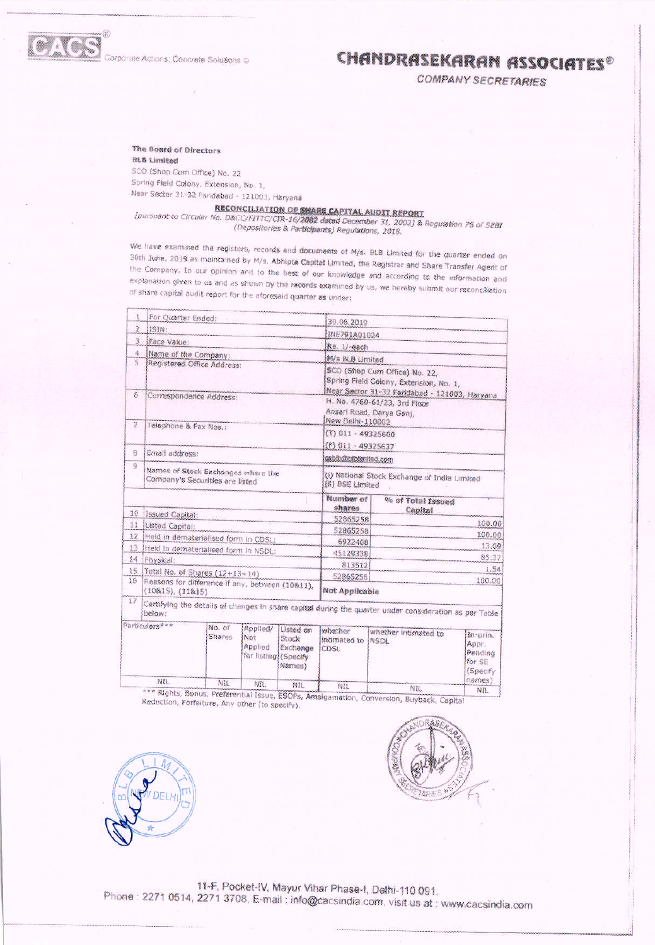

Corporate Actions; Concrete Solutions @

# CHANDRASEKARAN ASSOCIATES®

**COMPANY SECRETARIES** 

The Board of Directors **BLB Limited** SCO (Shop Cum Office) No. 22 Spring Field Colony, Extension, No. 1,

Near Sector 31-32 Faridabad - 121003, Haryana

**RECONCILIATION OF SHARE CAPITAL AUDIT REPORT**<br>[pursuant to Circular No. D&CC/FITTC/CIR-16/2002 dated December 31, 2002] & Regulation 76 of SEBI (Depositories & Participants) Regulations, 2018.

We have examined the registers, records and documents of M/s. BLB Limited for the quarter ended on 30th June, 2019 as maintained by M/s. Abhipta Capital Limited, the Registrar and Share Transfer Agent of the Company. In our opinion and to the best of our knowledge and according to the information and explanation given to us and as shown by the records examined by us, we hereby submit our reconciliation of share capital audit report for the aforesaid quarter as under:

|                | For Quarter Ended:                                                    |                                |                                                    |                                          |                                                                                                                          |                                                                                                        |                                                    |
|----------------|-----------------------------------------------------------------------|--------------------------------|----------------------------------------------------|------------------------------------------|--------------------------------------------------------------------------------------------------------------------------|--------------------------------------------------------------------------------------------------------|----------------------------------------------------|
| 2              | ISIN:                                                                 |                                |                                                    |                                          | 30.06.2019                                                                                                               |                                                                                                        |                                                    |
| 3.             | Face Value:                                                           |                                |                                                    | INE791A01024                             |                                                                                                                          |                                                                                                        |                                                    |
| 4.             | Name of the Company:                                                  |                                |                                                    |                                          | Re. 1/-each                                                                                                              |                                                                                                        |                                                    |
| s              | Registered Office Address:                                            |                                |                                                    |                                          | M/s BLB Limited                                                                                                          |                                                                                                        |                                                    |
|                |                                                                       |                                |                                                    |                                          | SCO (Shop Cum Office) No. 22,<br>Spring Field Colony, Extension, No. 1,<br>Near Sector 31-32 Faridabad - 121003, Haryana |                                                                                                        |                                                    |
| $\delta$       | Correspondence Address:                                               |                                |                                                    |                                          | H. No. 4760-61/23, 3rd Floor<br>Ansari Road, Darya Ganj,                                                                 |                                                                                                        |                                                    |
| $\overline{2}$ | Telephone & Fax Nos.:                                                 |                                |                                                    |                                          | New Delhi-110002                                                                                                         |                                                                                                        |                                                    |
|                |                                                                       |                                |                                                    |                                          | (T) 011 - 49325600                                                                                                       |                                                                                                        |                                                    |
| 巨              | Email address:                                                        |                                |                                                    | (F) 011 - 49325637                       |                                                                                                                          |                                                                                                        |                                                    |
| 9              |                                                                       |                                |                                                    | asbib@btblimited.com                     |                                                                                                                          |                                                                                                        |                                                    |
|                | Names of Stock Exchanges where the<br>Company's Securities are listed |                                |                                                    |                                          | (I) National Stock Exchange of India Limited<br>(II) BSE Limited                                                         |                                                                                                        |                                                    |
|                |                                                                       |                                |                                                    |                                          | Number of<br>shares                                                                                                      | % of Total Issued<br>Capital                                                                           |                                                    |
| 10             | Issued Capital:                                                       |                                |                                                    |                                          | 52865258                                                                                                                 |                                                                                                        | 100.00                                             |
| 11             | Listed Capital:                                                       |                                |                                                    | 52865258                                 | 100.00                                                                                                                   |                                                                                                        |                                                    |
| 12             | Held in dematerialised form in CDSL:                                  |                                |                                                    |                                          | 6922408                                                                                                                  | 13.09                                                                                                  |                                                    |
| 13             | Held in dematerialised form in NSDL:                                  |                                |                                                    |                                          | 45129338                                                                                                                 | 85.37                                                                                                  |                                                    |
| 14             | Physical:                                                             |                                |                                                    | 813512                                   | 1.54                                                                                                                     |                                                                                                        |                                                    |
| 15<br>16       |                                                                       | Total No. of Shares (12+13+14) |                                                    |                                          | 52865258                                                                                                                 |                                                                                                        | 100.00                                             |
|                | Reasons for difference if any, between (10811),<br>(10815), (11815)   |                                |                                                    | Not Applicable                           |                                                                                                                          |                                                                                                        |                                                    |
| 17             |                                                                       |                                |                                                    |                                          |                                                                                                                          | Certifying the details of changes in share capital during the quarter under consideration as per Table |                                                    |
|                | Particulars***                                                        | No. of<br><b>Shares</b>        | Applied/<br>Not<br>Applied<br>for listing (Specify | Listed on<br>Stock<br>Exchange<br>Names) | whether<br>Intimated to<br>CDSL                                                                                          | whether intimated to<br><b>NSDL</b>                                                                    | In-prin.<br>Appr.<br>Pending<br>for SE<br>(Specify |
|                | NIL                                                                   | NIL                            | NTL.                                               | NIL                                      | NIL.                                                                                                                     | NIL.                                                                                                   | names)<br>NIL                                      |
|                | TYS Dichbe Dame                                                       | are.                           |                                                    |                                          |                                                                                                                          |                                                                                                        |                                                    |

s, Bonus, Preferential Issue, ESOPs, Amalgamation, Conversion, Buyback, Capital Reduction, Forfeiture, Any other (to specify).



11-F, Pocket-IV, Mayur Vihar Phase-I, Delhi-110 091. Phone: 2271 0514, 2271 3708, E-mail: info@cacsindia.com, visit us at: www.cacsindia.com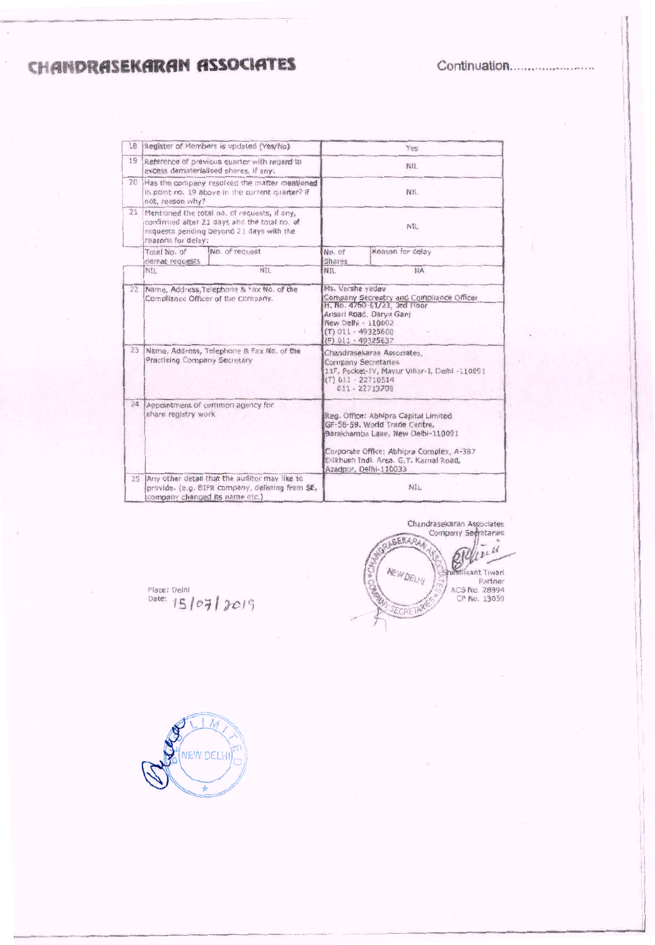CHANDRASEKARAN ASSOCIATES

Continuation.........................

| 18       | Register of Members is updated (Yes/No)                                                                                                                        |                  | Yes                                                                                                                                                                                              |  |  |
|----------|----------------------------------------------------------------------------------------------------------------------------------------------------------------|------------------|--------------------------------------------------------------------------------------------------------------------------------------------------------------------------------------------------|--|--|
| 19       | Reference of previous quarter with regard to<br>excess dematerialised shares, if any:                                                                          |                  | NIL.                                                                                                                                                                                             |  |  |
| 20       | Has the company resolved the matter mentioned<br>in point no. 19 above in the current quarter? if<br>not, reason why?                                          |                  | NIL                                                                                                                                                                                              |  |  |
| 21       | Mentioned the total no, of requests, if any,<br>confirmed after 21 days and the total no. of<br>requests pending beyond 21 days with the<br>reasons for delay: |                  | NIL                                                                                                                                                                                              |  |  |
|          | No. of request<br>Total No. of<br>demat requests                                                                                                               | No. of<br>Shares | Reason for delay                                                                                                                                                                                 |  |  |
|          | NIL<br>NIL:                                                                                                                                                    | NIL              | NA                                                                                                                                                                                               |  |  |
| 22       | Name, Address, Telephone & Fax No. of the<br>Compliance Officer of the Company.                                                                                |                  | Ms. Varsha vadav<br>Company Secreatry and Compliance Officer<br>H. No. 4760-61/23, 3rd Floor<br>Ansari Road, Darya Ganj<br>New Delhi - 110002<br>(T) 011 - 49325600<br>$(F)$ 011 - 49325637      |  |  |
| 23       | Name, Address, Telephone & Fax No. of the<br>Practising Company Secretary                                                                                      |                  | Chandrasekaran Associates,<br>Company Secretaries<br>11F, Pocket-IV, Mayur Vihar-I, Delhi -110091<br>(T) 011 - 22710514<br>011 - 22713708                                                        |  |  |
| $24^{1}$ | Appointment of common agency for<br>share registry work                                                                                                        |                  | Reg. Office: Abhipra Capital Limited<br>GF-58-59. World Trade Centre,<br>Barakhamba Lane, New Delhi-110001<br>Corporate Office: Abhipra Complex, A-387<br>Dilkhush Indi. Area. G.T. Karnal Road, |  |  |
| 25       | Any other detail that the auditor may like to<br>provide. (e.g. BIFR company, delisting from SE,<br>company changed its name etc.)                             |                  | Azadpur, Delhi-110033<br>NIL.                                                                                                                                                                    |  |  |

Chandrasekaran Associates<br>Company Segretaries ASEKARA w.  $\mu$  $\mu$ **MEIVOELHI Mikant Tiwari** Partner<br>Partner<br>CP No. 13050

Place: Delhi<br>Date:  $15/07/2019$ 

(NEW DELHI)